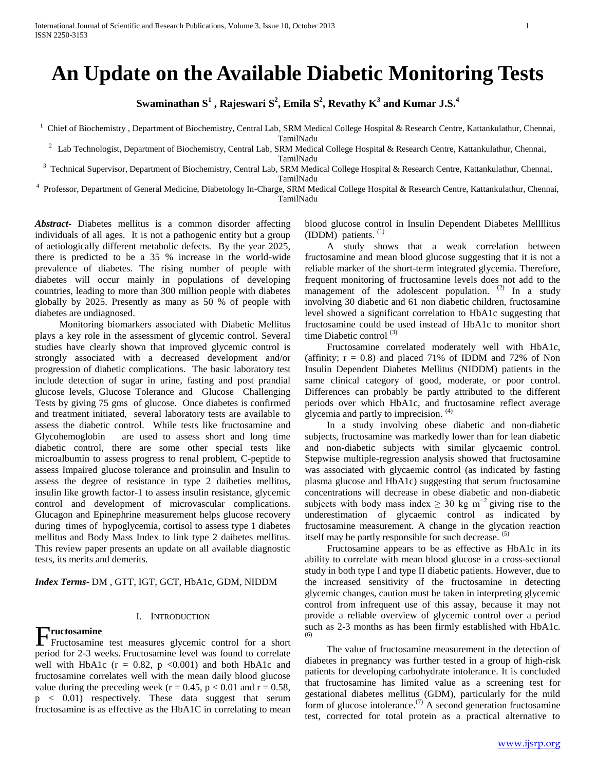# **An Update on the Available Diabetic Monitoring Tests**

 $\mathbf{S}^\mathbf{u}$  and  $\mathbf{K}^\mathbf{u}$  and  $\mathbf{S}^\mathbf{u}$  ,  $\mathbf{R}^\mathbf{u}$  and  $\mathbf{S}^\mathbf{u}$  and  $\mathbf{K}^\mathbf{u}$  and  $\mathbf{K}^\mathbf{u}$  and  $\mathbf{S}^\mathbf{u}$  and  $\mathbf{S}^\mathbf{u}$ 

<sup>1</sup> Chief of Biochemistry, Department of Biochemistry, Central Lab, SRM Medical College Hospital & Research Centre, Kattankulathur, Chennai,

TamilNadu

<sup>2</sup> Lab Technologist, Department of Biochemistry, Central Lab, SRM Medical College Hospital & Research Centre, Kattankulathur, Chennai,

TamilNadu

<sup>3</sup> Technical Supervisor, Department of Biochemistry, Central Lab, SRM Medical College Hospital & Research Centre, Kattankulathur, Chennai, TamilNadu

4 Professor, Department of General Medicine, Diabetology In-Charge, SRM Medical College Hospital & Research Centre, Kattankulathur, Chennai, TamilNadu

*Abstract***-** Diabetes mellitus is a common disorder affecting individuals of all ages. It is not a pathogenic entity but a group of aetiologically different metabolic defects. By the year 2025, there is predicted to be a 35 % increase in the world-wide prevalence of diabetes. The rising number of people with diabetes will occur mainly in populations of developing countries, leading to more than 300 million people with diabetes globally by 2025. Presently as many as 50 % of people with diabetes are undiagnosed.

 Monitoring biomarkers associated with Diabetic Mellitus plays a key role in the assessment of glycemic control. Several studies have clearly shown that improved glycemic control is strongly associated with a decreased development and/or progression of diabetic complications. The basic laboratory test include detection of sugar in urine, fasting and post prandial glucose levels, Glucose Tolerance and Glucose Challenging Tests by giving 75 gms of glucose. Once diabetes is confirmed and treatment initiated, several laboratory tests are available to assess the diabetic control. While tests like fructosamine and Glycohemoglobin are used to assess short and long time diabetic control, there are some other special tests like microalbumin to assess progress to renal problem, C-peptide to assess Impaired glucose tolerance and proinsulin and Insulin to assess the degree of resistance in type 2 daibeties mellitus, insulin like growth factor-1 to assess insulin resistance, glycemic control and development of microvascular complications. Glucagon and Epinephrine measurement helps glucose recovery during times of hypoglycemia, cortisol to assess type 1 diabetes mellitus and Body Mass Index to link type 2 daibetes mellitus. This review paper presents an update on all available diagnostic tests, its merits and demerits.

*Index Terms*- DM , GTT, IGT, GCT, HbA1c, GDM, NIDDM

# I. INTRODUCTION

**Fructosamine**<br>Fructosamine Fructosamine test measures glycemic control for a short period for 2-3 weeks. Fructosamine level was found to correlate well with HbA1c ( $r = 0.82$ ,  $p \le 0.001$ ) and both HbA1c and fructosamine correlates well with the mean daily blood glucose value during the preceding week ( $r = 0.45$ ,  $p < 0.01$  and  $r = 0.58$ , p < 0.01) respectively. These data suggest that serum fructosamine is as effective as the HbA1C in correlating to mean

blood glucose control in Insulin Dependent Diabetes Mellllitus (IDDM) patients. (1)

 A study shows that a weak correlation between fructosamine and mean blood glucose suggesting that it is not a reliable marker of the short-term integrated glycemia. Therefore, frequent monitoring of fructosamine levels does not add to the management of the adolescent population.  $(2)$  In a study involving 30 diabetic and 61 non diabetic children, fructosamine level showed a significant correlation to HbA1c suggesting that fructosamine could be used instead of HbA1c to monitor short time Diabetic control  $(3)$ 

 Fructosamine correlated moderately well with HbA1c, (affinity;  $r = 0.8$ ) and placed 71% of IDDM and 72% of Non Insulin Dependent Diabetes Mellitus (NIDDM) patients in the same clinical category of good, moderate, or poor control. Differences can probably be partly attributed to the different periods over which HbA1c, and fructosamine reflect average glycemia and partly to imprecision. (4)

 In a study involving obese diabetic and non-diabetic subjects, fructosamine was markedly lower than for lean diabetic and non-diabetic subjects with similar glycaemic control. Stepwise multiple-regression analysis showed that fructosamine was associated with glycaemic control (as indicated by fasting plasma glucose and HbA1c) suggesting that serum fructosamine concentrations will decrease in obese diabetic and non-diabetic subjects with body mass index  $\geq 30$  kg m<sup>-2</sup> giving rise to the underestimation of glycaemic control as indicated by fructosamine measurement. A change in the glycation reaction itself may be partly responsible for such decrease.  $(5)$ 

 Fructosamine appears to be as effective as HbA1c in its ability to correlate with mean blood glucose in a cross-sectional study in both type I and type II diabetic patients. However, due to the increased sensitivity of the fructosamine in detecting glycemic changes, caution must be taken in interpreting glycemic control from infrequent use of this assay, because it may not provide a reliable overview of glycemic control over a period such as 2-3 months as has been firmly established with HbA1c. (6)

 The value of fructosamine measurement in the detection of diabetes in pregnancy was further tested in a group of high-risk patients for developing carbohydrate intolerance. It is concluded that fructosamine has limited value as a screening test for gestational diabetes mellitus (GDM), particularly for the mild form of glucose intolerance.<sup>(7)</sup> A second generation fructosamine test, corrected for total protein as a practical alternative to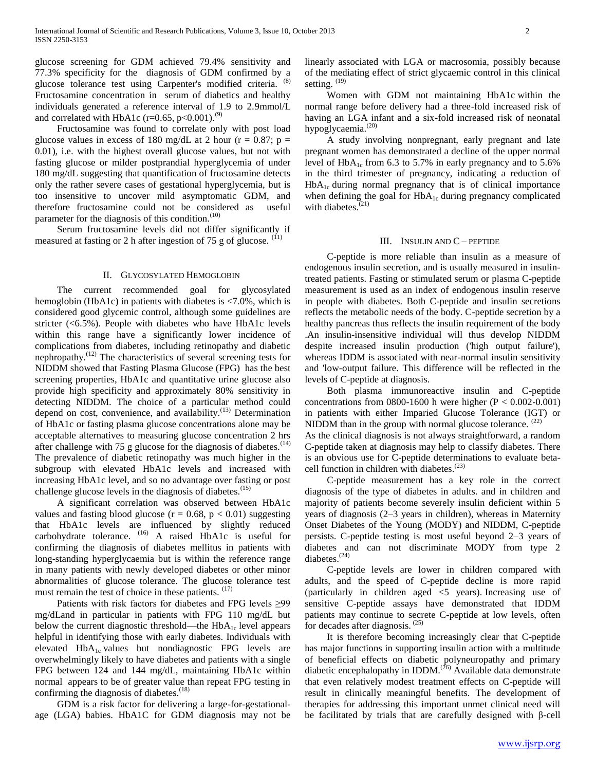glucose screening for GDM achieved 79.4% sensitivity and 77.3% specificity for the diagnosis of GDM confirmed by a glucose tolerance test using Carpenter's modified criteria. Fructosamine concentration in serum of diabetics and healthy individuals generated a reference interval of 1.9 to 2.9mmol/L and correlated with HbA1c ( $r=0.65$ ,  $p<0.001$ ).<sup>(9)</sup>

 Fructosamine was found to correlate only with post load glucose values in excess of 180 mg/dL at 2 hour ( $r = 0.87$ ;  $p =$ 0.01), i.e. with the highest overall glucose values, but not with fasting glucose or milder postprandial hyperglycemia of under 180 mg/dL suggesting that quantification of fructosamine detects only the rather severe cases of gestational hyperglycemia, but is too insensitive to uncover mild asymptomatic GDM, and therefore fructosamine could not be considered as useful parameter for the diagnosis of this condition.<sup>(10)</sup>

 Serum fructosamine levels did not differ significantly if measured at fasting or 2 h after ingestion of 75 g of glucose.  $(11)$ 

#### II. GLYCOSYLATED HEMOGLOBIN

 The current recommended goal for glycosylated hemoglobin (HbA1c) in patients with diabetes is <7.0%, which is considered good glycemic control, although some guidelines are stricter (<6.5%). People with diabetes who have HbA1c levels within this range have a significantly lower incidence of complications from diabetes, including retinopathy and diabetic nephropathy.(12) The characteristics of several screening tests for NIDDM showed that Fasting Plasma Glucose (FPG) has the best screening properties, HbA1c and quantitative urine glucose also provide high specificity and approximately 80% sensitivity in detecting NIDDM. The choice of a particular method could depend on cost, convenience, and availability.<sup>(13)</sup> Determination of HbA1c or fasting plasma glucose concentrations alone may be acceptable alternatives to measuring glucose concentration 2 hrs after challenge with 75 g glucose for the diagnosis of diabetes.  $(14)$ The prevalence of diabetic retinopathy was much higher in the subgroup with elevated HbA1c levels and increased with increasing HbA1c level, and so no advantage over fasting or post challenge glucose levels in the diagnosis of diabetes.<sup>(15)</sup>

 A significant correlation was observed between HbA1c values and fasting blood glucose ( $r = 0.68$ ,  $p < 0.01$ ) suggesting that HbA1c levels are influenced by slightly reduced carbohydrate tolerance. (16) A raised HbA1c is useful for confirming the diagnosis of diabetes mellitus in patients with long-standing hyperglycaemia but is within the reference range in many patients with newly developed diabetes or other minor abnormalities of glucose tolerance. The glucose tolerance test must remain the test of choice in these patients. (17)

 Patients with risk factors for diabetes and FPG levels ≥99 mg/dLand in particular in patients with FPG 110 mg/dL but below the current diagnostic threshold—the  $HbA_{1c}$  level appears helpful in identifying those with early diabetes. Individuals with elevated  $HbA_{1c}$  values but nondiagnostic FPG levels are overwhelmingly likely to have diabetes and patients with a single FPG between 124 and 144 mg/dL, maintaining HbA1c within normal appears to be of greater value than repeat FPG testing in confirming the diagnosis of diabetes.<sup>(18)</sup>

 GDM is a risk factor for delivering a large-for-gestationalage (LGA) babies. HbA1C for GDM diagnosis may not be linearly associated with LGA or macrosomia, possibly because of the mediating effect of strict glycaemic control in this clinical setting.  $(19)$ 

 Women with GDM not maintaining HbA1c within the normal range before delivery had a three-fold increased risk of having an LGA infant and a six-fold increased risk of neonatal hypoglycaemia.<sup>(20)</sup>

 A study involving nonpregnant, early pregnant and late pregnant women has demonstrated a decline of the upper normal level of  $HbA_{1c}$  from 6.3 to 5.7% in early pregnancy and to 5.6% in the third trimester of pregnancy, indicating a reduction of  $HbA_{1c}$  during normal pregnancy that is of clinical importance when defining the goal for  $HbA_{1c}$  during pregnancy complicated with diabetes. $(21)$ 

## III. INSULIN AND C – PEPTIDE

 C-peptide is more reliable than insulin as a measure of endogenous insulin secretion, and is usually measured in insulintreated patients. Fasting or stimulated serum or plasma C-peptide measurement is used as an index of endogenous insulin reserve in people with diabetes. Both C-peptide and insulin secretions reflects the metabolic needs of the body. C-peptide secretion by a healthy pancreas thus reflects the insulin requirement of the body .An insulin-insensitive individual will thus develop NIDDM despite increased insulin production ('high output failure'), whereas IDDM is associated with near-normal insulin sensitivity and 'low-output failure. This difference will be reflected in the levels of C-peptide at diagnosis.

 Both plasma immunoreactive insulin and C-peptide concentrations from 0800-1600 h were higher  $(P < 0.002 - 0.001)$ in patients with either Imparied Glucose Tolerance (IGT) or NIDDM than in the group with normal glucose tolerance.  $(22)$ 

As the clinical diagnosis is not always straightforward, a random C-peptide taken at diagnosis may help to classify diabetes. There is an obvious use for C-peptide determinations to evaluate betacell function in children with diabetes. $(23)$ 

 C-peptide measurement has a key role in the correct diagnosis of the type of diabetes in adults. and in children and majority of patients become severely insulin deficient within 5 years of diagnosis (2–3 years in children), whereas in Maternity Onset Diabetes of the Young (MODY) and NIDDM, C-peptide persists. C-peptide testing is most useful beyond 2–3 years of diabetes and can not discriminate MODY from type 2 diabetes.<sup>(24)</sup>

 C-peptide levels are lower in children compared with adults, and the speed of C-peptide decline is more rapid (particularly in children aged <5 years). Increasing use of sensitive C-peptide assays have demonstrated that IDDM patients may continue to secrete C-peptide at low levels, often for decades after diagnosis. (25)

 It is therefore becoming increasingly clear that C-peptide has major functions in supporting insulin action with a multitude of beneficial effects on diabetic polyneuropathy and primary diabetic encephalopathy in IDDM. $^{(26)}$  Available data demonstrate that even relatively modest treatment effects on C-peptide will result in clinically meaningful benefits. The development of therapies for addressing this important unmet clinical need will be facilitated by trials that are carefully designed with β-cell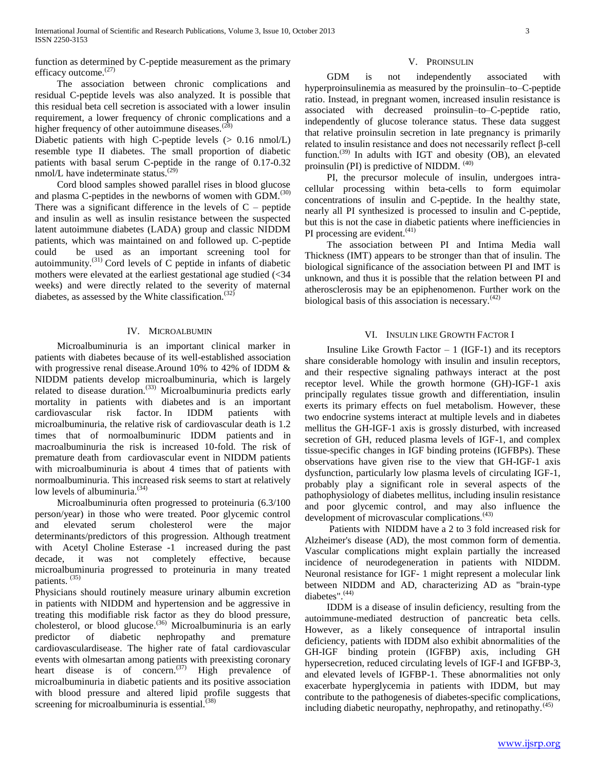function as determined by C-peptide measurement as the primary efficacy outcome.<sup>(27)</sup>

 The association between chronic complications and residual C-peptide levels was also analyzed. It is possible that this residual beta cell secretion is associated with a lower insulin requirement, a lower frequency of chronic complications and a higher frequency of other autoimmune diseases. $(28)$ 

Diabetic patients with high C-peptide levels (> 0.16 nmol/L) resemble type II diabetes. The small proportion of diabetic patients with basal serum C-peptide in the range of 0.17-0.32 nmol/L have indeterminate status. $(29)$ 

 Cord blood samples showed parallel rises in blood glucose and plasma C-peptides in the newborns of women with  $GDM$ .<sup>(30)</sup> There was a significant difference in the levels of  $C$  – peptide and insulin as well as insulin resistance between the suspected latent autoimmune diabetes (LADA) group and classic NIDDM patients, which was maintained on and followed up. C-peptide could be used as an important screening tool for autoimmunity.(31) Cord levels of C peptide in infants of diabetic mothers were elevated at the earliest gestational age studied (<34 weeks) and were directly related to the severity of maternal diabetes, as assessed by the White classification. $(32)$ 

# IV. MICROALBUMIN

 Microalbuminuria is an important clinical marker in patients with diabetes because of its well-established association with progressive renal disease.Around 10% to 42% of IDDM & NIDDM patients develop microalbuminuria, which is largely related to disease duration.<sup>(33)</sup> Microalbuminuria predicts early mortality in patients with diabetes and is an important cardiovascular risk factor. In IDDM patients with microalbuminuria, the relative risk of cardiovascular death is 1.2 times that of normoalbuminuric IDDM patients and in macroalbuminuria the risk is increased 10-fold. The risk of premature death from cardiovascular event in NIDDM patients with microalbuminuria is about 4 times that of patients with normoalbuminuria. This increased risk seems to start at relatively low levels of albuminuria.<sup>(34)</sup>

 Microalbuminuria often progressed to proteinuria (6.3/100 person/year) in those who were treated. Poor glycemic control and elevated serum cholesterol were the major determinants/predictors of this progression. Although treatment with Acetyl Choline Esterase -1 increased during the past decade, it was not completely effective, because microalbuminuria progressed to proteinuria in many treated patients. (35)

Physicians should routinely measure urinary albumin excretion in patients with NIDDM and hypertension and be aggressive in treating this modifiable risk factor as they do blood pressure, cholesterol, or blood glucose.<sup>(36)</sup> Microalbuminuria is an early predictor of diabetic nephropathy and premature cardiovasculardisease. The higher rate of fatal cardiovascular events with olmesartan among patients with preexisting coronary heart disease is of concern.<sup> $(37)$ </sup> High prevalence of microalbuminuria in diabetic patients and its positive association with blood pressure and altered lipid profile suggests that screening for microalbuminuria is essential. $(38)$ 

## V. PROINSULIN

 GDM is not independently associated with hyperproinsulinemia as measured by the proinsulin–to–C-peptide ratio. Instead, in pregnant women, increased insulin resistance is associated with decreased proinsulin–to–C-peptide ratio, independently of glucose tolerance status. These data suggest that relative proinsulin secretion in late pregnancy is primarily related to insulin resistance and does not necessarily reflect β-cell function.<sup>(39)</sup> In adults with IGT and obesity  $(OB)$ , an elevated proinsulin (PI) is predictive of NIDDM. <sup>(40)</sup>

 PI, the precursor molecule of insulin, undergoes intracellular processing within beta-cells to form equimolar concentrations of insulin and C-peptide. In the healthy state, nearly all PI synthesized is processed to insulin and C-peptide, but this is not the case in diabetic patients where inefficiencies in PI processing are evident. $(41)$ 

 The association between PI and Intima Media wall Thickness (IMT) appears to be stronger than that of insulin. The biological significance of the association between PI and IMT is unknown, and thus it is possible that the relation between PI and atherosclerosis may be an epiphenomenon. Further work on the biological basis of this association is necessary. $(42)$ 

# VI. INSULIN LIKE GROWTH FACTOR I

Insuline Like Growth Factor  $-1$  (IGF-1) and its receptors share considerable homology with insulin and insulin receptors, and their respective signaling pathways interact at the post receptor level. While the growth hormone (GH)-IGF-1 axis principally regulates tissue growth and differentiation, insulin exerts its primary effects on fuel metabolism. However, these two endocrine systems interact at multiple levels and in diabetes mellitus the GH-IGF-1 axis is grossly disturbed, with increased secretion of GH, reduced plasma levels of IGF-1, and complex tissue-specific changes in IGF binding proteins (IGFBPs). These observations have given rise to the view that GH-IGF-1 axis dysfunction, particularly low plasma levels of circulating IGF-1, probably play a significant role in several aspects of the pathophysiology of diabetes mellitus, including insulin resistance and poor glycemic control, and may also influence the development of microvascular complications.<sup>(43)</sup>

 Patients with NIDDM have a 2 to 3 fold increased risk for Alzheimer's disease (AD), the most common form of dementia. Vascular complications might explain partially the increased incidence of neurodegeneration in patients with NIDDM. Neuronal resistance for IGF- 1 might represent a molecular link between NIDDM and AD, characterizing AD as "brain-type diabetes".<sup>(44)</sup>

 IDDM is a disease of insulin deficiency, resulting from the autoimmune-mediated destruction of pancreatic beta cells. However, as a likely consequence of intraportal insulin deficiency, patients with IDDM also exhibit abnormalities of the GH-IGF binding protein (IGFBP) axis, including GH hypersecretion, reduced circulating levels of IGF-I and IGFBP-3, and elevated levels of IGFBP-1. These abnormalities not only exacerbate hyperglycemia in patients with IDDM, but may contribute to the pathogenesis of diabetes-specific complications, including diabetic neuropathy, nephropathy, and retinopathy. $(45)$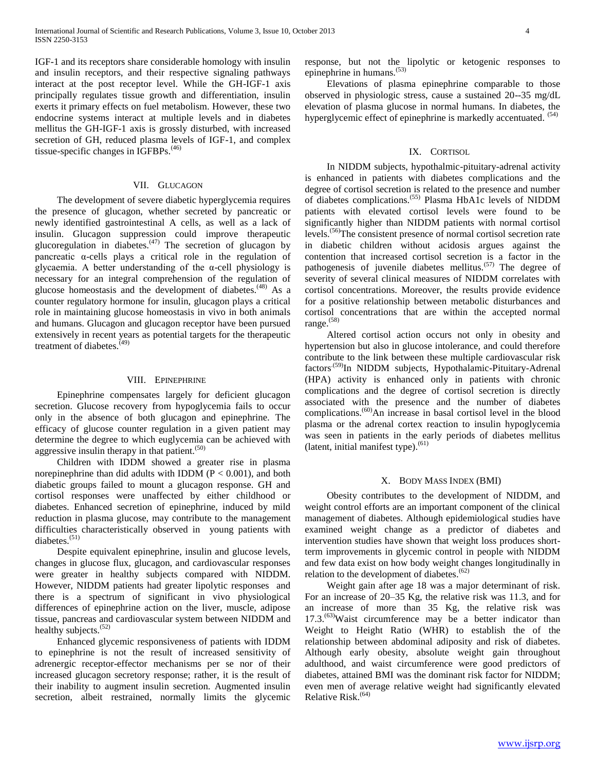IGF-1 and its receptors share considerable homology with insulin and insulin receptors, and their respective signaling pathways interact at the post receptor level. While the GH-IGF-1 axis principally regulates tissue growth and differentiation, insulin exerts it primary effects on fuel metabolism. However, these two endocrine systems interact at multiple levels and in diabetes mellitus the GH-IGF-1 axis is grossly disturbed, with increased secretion of GH, reduced plasma levels of IGF-1, and complex tissue-specific changes in IGFBPs. $(46)$ 

# VII. GLUCAGON

 The development of severe diabetic hyperglycemia requires the presence of glucagon, whether secreted by pancreatic or newly identified gastrointestinal A cells, as well as a lack of insulin. Glucagon suppression could improve therapeutic glucoregulation in diabetes. $(47)$  The secretion of glucagon by pancreatic α-cells plays a critical role in the regulation of glycaemia. A better understanding of the α-cell physiology is necessary for an integral comprehension of the regulation of glucose homeostasis and the development of diabetes.<sup>(48)</sup> As a counter regulatory hormone for insulin, glucagon plays a critical role in maintaining glucose homeostasis in vivo in both animals and humans. Glucagon and glucagon receptor have been pursued extensively in recent years as potential targets for the therapeutic treatment of diabetes.<sup>(49)</sup>

## VIII. EPINEPHRINE

 Epinephrine compensates largely for deficient glucagon secretion. Glucose recovery from hypoglycemia fails to occur only in the absence of both glucagon and epinephrine. The efficacy of glucose counter regulation in a given patient may determine the degree to which euglycemia can be achieved with aggressive insulin therapy in that patient. $(50)$ 

 Children with IDDM showed a greater rise in plasma norepinephrine than did adults with IDDM ( $P < 0.001$ ), and both diabetic groups failed to mount a glucagon response. GH and cortisol responses were unaffected by either childhood or diabetes. Enhanced secretion of epinephrine, induced by mild reduction in plasma glucose, may contribute to the management difficulties characteristically observed in young patients with diabetes.<sup>(51)</sup>

 Despite equivalent epinephrine, insulin and glucose levels, changes in glucose flux, glucagon, and cardiovascular responses were greater in healthy subjects compared with NIDDM. However, NIDDM patients had greater lipolytic responses and there is a spectrum of significant in vivo physiological differences of epinephrine action on the liver, muscle, adipose tissue, pancreas and cardiovascular system between NIDDM and healthy subjects. $(52)$ 

 Enhanced glycemic responsiveness of patients with IDDM to epinephrine is not the result of increased sensitivity of adrenergic receptor-effector mechanisms per se nor of their increased glucagon secretory response; rather, it is the result of their inability to augment insulin secretion. Augmented insulin secretion, albeit restrained, normally limits the glycemic

response, but not the lipolytic or ketogenic responses to epinephrine in humans.(53)

 Elevations of plasma epinephrine comparable to those observed in physiologic stress, cause a sustained 20--35 mg/dL elevation of plasma glucose in normal humans. In diabetes, the hyperglycemic effect of epinephrine is markedly accentuated. <sup>(54)</sup>

#### IX. CORTISOL

 In NIDDM subjects, hypothalmic-pituitary-adrenal activity is enhanced in patients with diabetes complications and the degree of cortisol secretion is related to the presence and number of diabetes complications.(55) Plasma HbA1c levels of NIDDM patients with elevated cortisol levels were found to be significantly higher than NIDDM patients with normal cortisol levels.(56)The consistent presence of normal cortisol secretion rate in diabetic children without acidosis argues against the contention that increased cortisol secretion is a factor in the pathogenesis of juvenile diabetes mellitus.<sup> $(57)$ </sup> The degree of severity of several clinical measures of NIDDM correlates with cortisol concentrations. Moreover, the results provide evidence for a positive relationship between metabolic disturbances and cortisol concentrations that are within the accepted normal range.(58)

 Altered cortisol action occurs not only in obesity and hypertension but also in glucose intolerance, and could therefore contribute to the link between these multiple cardiovascular risk factors<sup>.(59)</sup>In NIDDM subjects, Hypothalamic-Pituitary-Adrenal (HPA) activity is enhanced only in patients with chronic complications and the degree of cortisol secretion is directly associated with the presence and the number of diabetes complications.<sup>(60)</sup>An increase in basal cortisol level in the blood plasma or the adrenal cortex reaction to insulin hypoglycemia was seen in patients in the early periods of diabetes mellitus (latent, initial manifest type). $(61)$ 

#### X. BODY MASS INDEX (BMI)

 Obesity contributes to the development of NIDDM, and weight control efforts are an important component of the clinical management of diabetes. Although epidemiological studies have examined weight change as a predictor of diabetes and intervention studies have shown that weight loss produces shortterm improvements in glycemic control in people with NIDDM and few data exist on how body weight changes longitudinally in relation to the development of diabetes. $(62)$ 

 Weight gain after age 18 was a major determinant of risk. For an increase of 20–35 Kg, the relative risk was 11.3, and for an increase of more than 35 Kg, the relative risk was  $17.3^{(63)}$ Waist circumference may be a better indicator than Weight to Height Ratio (WHR) to establish the of the relationship between abdominal adiposity and risk of diabetes. Although early obesity, absolute weight gain throughout adulthood, and waist circumference were good predictors of diabetes, attained BMI was the dominant risk factor for NIDDM; even men of average relative weight had significantly elevated Relative Risk. $(64)$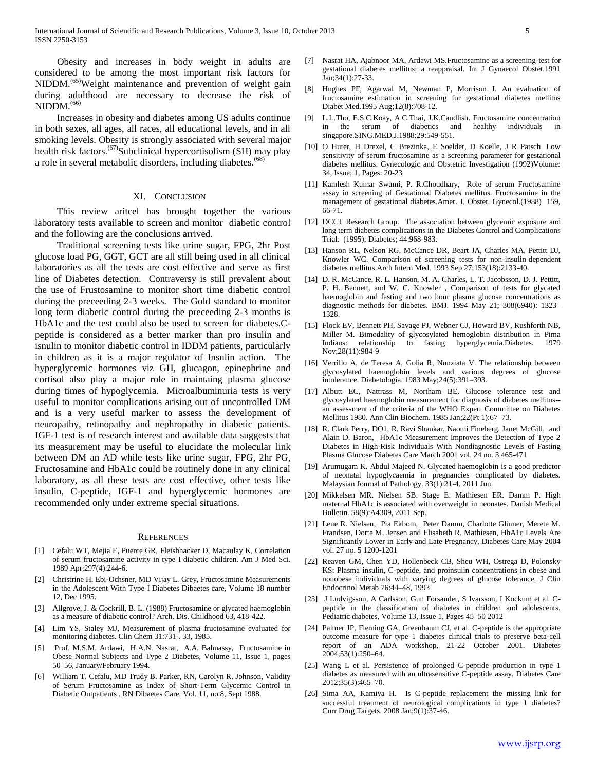Obesity and increases in body weight in adults are considered to be among the most important risk factors for NIDDM.<sup>(65)</sup>Weight maintenance and prevention of weight gain during adulthood are necessary to decrease the risk of NIDDM.<sup>(66)</sup>

 Increases in obesity and diabetes among US adults continue in both sexes, all ages, all races, all educational levels, and in all smoking levels. Obesity is strongly associated with several major health risk factors.<sup>(67)</sup>Subclinical hypercortisolism (SH) may play a role in several metabolic disorders, including diabetes.<sup>(68)</sup>

#### XI. CONCLUSION

 This review aritcel has brought together the various laboratory tests available to screen and monitor diabetic control and the following are the conclusions arrived.

 Traditional screening tests like urine sugar, FPG, 2hr Post glucose load PG, GGT, GCT are all still being used in all clinical laboratories as all the tests are cost effective and serve as first line of Diabetes detection. Contraversy is still prevalent about the use of Frustosamine to monitor short time diabetic control during the preceeding 2-3 weeks. The Gold standard to monitor long term diabetic control during the preceeding 2-3 months is HbA1c and the test could also be used to screen for diabetes.Cpeptide is considered as a better marker than pro insulin and isnulin to monitor diabetic control in IDDM patients, particularly in children as it is a major regulator of Insulin action. The hyperglycemic hormones viz GH, glucagon, epinephrine and cortisol also play a major role in maintaing plasma glucose during times of hypoglycemia. Microalbuminuria tests is very useful to monitor complications arising out of uncontrolled DM and is a very useful marker to assess the development of neuropathy, retinopathy and nephropathy in diabetic patients. IGF-1 test is of research interest and available data suggests that its measurement may be useful to elucidate the molecular link between DM an AD while tests like urine sugar, FPG, 2hr PG, Fructosamine and HbA1c could be routinely done in any clinical laboratory, as all these tests are cost effective, other tests like insulin, C-peptide, IGF-1 and hyperglycemic hormones are recommended only under extreme special situations.

#### **REFERENCES**

- [1] Cefalu WT, Mejia E, Puente GR, Fleishhacker D, Macaulay K, Correlation of serum fructosamine activity in type I diabetic children. Am J Med Sci. 1989 Apr;297(4):244-6.
- [2] Christrine H. Ebi-Ochsner, MD Vijay L. Grey, Fructosamine Measurements in the Adolescent With Type I Diabetes Dibaetes care, Volume 18 number 12, Dec 1995.
- [3] Allgrove, J. & Cockrill, B. L. (1988) Fructosamine or glycated haemoglobin as a measure of diabetic control? Arch. Dis. Childhood 63, 418-422.
- [4] Lim YS, Staley MJ, Measurement of plasma fructosamine evaluated for monitoring diabetes. Clin Chem 31:731-. 33, 1985.
- [5] Prof. M.S.M. Ardawi, H.A.N. Nasrat, A.A. Bahnassy, Fructosamine in Obese Normal Subjects and Type 2 Diabetes, Volume 11, Issue 1, pages 50–56, January/February 1994.
- [6] William T. Cefalu, MD Trudy B. Parker, RN, Carolyn R. Johnson, Validity of Serum Fructosamine as Index of Short-Term Glycemic Control in Diabetic Outpatients , RN Dibaetes Care, Vol. 11, no.8, Sept 1988.
- [7] Nasrat HA, Ajabnoor MA, Ardawi MS.Fructosamine as a screening-test for gestational diabetes mellitus: a reappraisal. Int J Gynaecol Obstet.1991 Jan;34(1):27-33.
- [8] Hughes PF, Agarwal M, Newman P, Morrison J. An evaluation of fructosamine estimation in screening for gestational diabetes mellitus Diabet Med.1995 Aug;12(8):708-12.
- [9] L.L.Tho, E.S.C.Koay, A.C.Thai, J.K.Candlish. Fructosamine concentration in the serum of diabetics and healthy individuals in singapore.SING.MED.J.1988:29:549-551.
- [10] O Huter, H Drexel, C Brezinka, E Soelder, D Koelle, J R Patsch. Low sensitivity of serum fructosamine as a screening parameter for gestational diabetes mellitus. Gynecologic and Obstetric Investigation (1992)Volume: 34, Issue: 1, Pages: 20-23
- [11] Kamlesh Kumar Swami, P. R.Choudhary, Role of serum Fructosamine assay in screening of Gestational Diabetes mellitus. Fructosamine in the management of gestational diabetes.Amer. J. Obstet. Gynecol.(1988) 159, 66-71.
- [12] DCCT Research Group. The association between glycemic exposure and long term diabetes complications in the Diabetes Control and Complications Trial. (1995); Diabetes; 44:968-983.
- [13] Hanson RL, Nelson RG, McCance DR, Beart JA, Charles MA, Pettitt DJ, Knowler WC. Comparison of screening tests for non-insulin-dependent diabetes mellitus.Arch Intern Med. 1993 Sep 27;153(18):2133-40.
- [14] D. R. McCance, R. L. Hanson, M. A. Charles, L. T. Jacobsson, D. J. Pettitt, P. H. Bennett, and W. C. Knowler , Comparison of tests for glycated haemoglobin and fasting and two hour plasma glucose concentrations as diagnostic methods for diabetes. BMJ. 1994 May 21; 308(6940): 1323– 1328.
- [15] Flock EV, Bennett PH, Savage PJ, Webner CJ, Howard BV, Rushforth NB, Miller M. Bimodality of glycosylated hemoglobin distribution in Pima Indians: relationship to fasting hyperglycemia.Diabetes. 1979 Nov;28(11):984-9
- [16] Verrillo A, de Teresa A, Golia R, Nunziata V. The relationship between glycosylated haemoglobin levels and various degrees of glucose intolerance. Diabetologia. 1983 May;24(5):391–393.
- [17] Albutt EC, Nattrass M, Northam BE. Glucose tolerance test and glycosylated haemoglobin measurement for diagnosis of diabetes mellitus- an assessment of the criteria of the WHO Expert Committee on Diabetes Mellitus 1980. Ann Clin Biochem. 1985 Jan;22(Pt 1):67–73.
- [18] R. Clark Perry, DO1, R. Ravi Shankar, Naomi Fineberg, Janet McGill, and Alain D. Baron, HbA1c Measurement Improves the Detection of Type 2 Diabetes in High-Risk Individuals With Nondiagnostic Levels of Fasting Plasma Glucose Diabetes Care March 2001 vol. 24 no. 3 465-471
- [19] Arumugam K. Abdul Majeed N. Glycated haemoglobin is a good predictor of neonatal hypoglycaemia in pregnancies complicated by diabetes. Malaysian Journal of Pathology. 33(1):21-4, 2011 Jun.
- [20] Mikkelsen MR. Nielsen SB. Stage E. Mathiesen ER. Damm P. High maternal HbA1c is associated with overweight in neonates. Danish Medical Bulletin. 58(9):A4309, 2011 Sep.
- [21] Lene R. Nielsen, Pia Ekbom, Peter Damm, Charlotte Glümer, Merete M. Frandsen, Dorte M. Jensen and Elisabeth R. Mathiesen, HbA1c Levels Are Significantly Lower in Early and Late Pregnancy, Diabetes Care May 2004 vol. 27 no. 5 1200-1201
- [22] Reaven GM, Chen YD, Hollenbeck CB, Sheu WH, Ostrega D, Polonsky KS: Plasma insulin, C-peptide, and proinsulin concentrations in obese and nonobese individuals with varying degrees of glucose tolerance. J Clin Endocrinol Metab 76:44–48, 1993
- [23] J Ludvigsson, A Carlsson, Gun Forsander, S Ivarsson, I Kockum et al. Cpeptide in the classification of diabetes in children and adolescents. Pediatric diabetes, Volume 13, Issue 1, Pages 45–50 2012
- [24] Palmer JP, Fleming GA, Greenbaum CJ, et al. C-peptide is the appropriate outcome measure for type 1 diabetes clinical trials to preserve beta-cell report of an ADA workshop, 21-22 October 2001. Diabetes 2004;53(1):250–64.
- [25] Wang L et al. Persistence of prolonged C-peptide production in type 1 diabetes as measured with an ultrasensitive C-peptide assay. Diabetes Care 2012;35(3):465–70.
- [26] Sima AA, Kamiya H. Is C-peptide replacement the missing link for successful treatment of neurological complications in type 1 diabetes? Curr Drug Targets. 2008 Jan;9(1):37-46.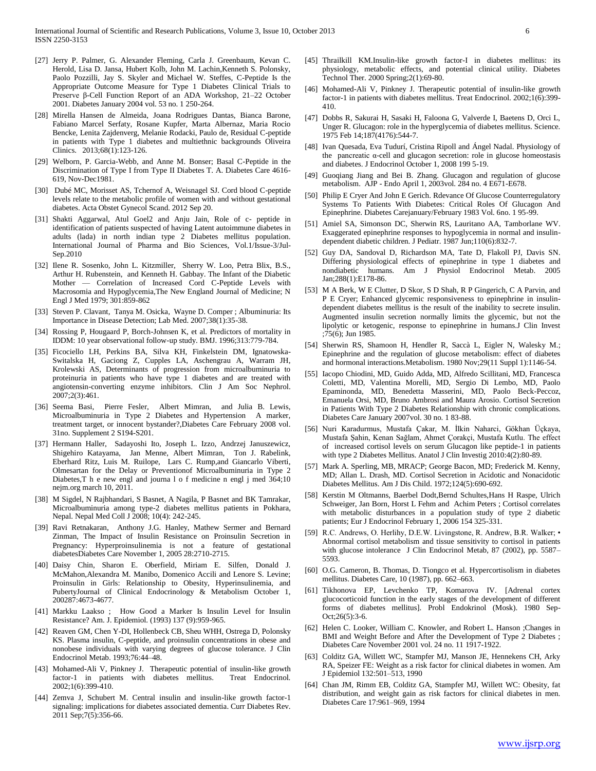- [27] Jerry P. Palmer, G. Alexander Fleming, Carla J. Greenbaum, Kevan C. Herold, Lisa D. Jansa, Hubert Kolb, John M. Lachin,Kenneth S. Polonsky, Paolo Pozzilli, Jay S. Skyler and Michael W. Steffes, C-Peptide Is the Appropriate Outcome Measure for Type 1 Diabetes Clinical Trials to Preserve β-Cell Function Report of an ADA Workshop, 21–22 October 2001. Diabetes January 2004 vol. 53 no. 1 250-264.
- [28] Mirella Hansen de Almeida, Joana Rodrigues Dantas, Bianca Barone, Fabiano Marcel Serfaty, Rosane Kupfer, Marta Albernaz, Maria Rocio Bencke, Lenita Zajdenverg, Melanie Rodacki, Paulo de, Residual C-peptide in patients with Type 1 diabetes and multiethnic backgrounds Oliveira Clinics. 2013;68(1):123-126.
- [29] Welborn, P. Garcia-Webb, and Anne M. Bonser; Basal C-Peptide in the Discrimination of Type I from Type II Diabetes T. A. Diabetes Care 4616- 619, Nov-Dec1981.
- [30] Dubé MC, Morisset AS, Tchernof A, Weisnagel SJ. Cord blood C-peptide levels relate to the metabolic profile of women with and without gestational diabetes. Acta Obstet Gynecol Scand. 2012 Sep 20.
- [31] Shakti Aggarwal, Atul Goel2 and Anju Jain, Role of c- peptide in identification of patients suspected of having Latent autoimmune diabetes in adults (lada) in north indian type 2 Diabetes mellitus population. International Journal of Pharma and Bio Sciences, Vol.1/Issue-3/Jul-Sep.2010
- [32] Ilene R. Sosenko, John L. Kitzmiller, Sherry W. Loo, Petra Blix, B.S., Arthur H. Rubenstein, and Kenneth H. Gabbay. The Infant of the Diabetic Mother — Correlation of Increased Cord C-Peptide Levels with Macrosomia and Hypoglycemia,The New England Journal of Medicine; N Engl J Med 1979; 301:859-862
- [33] Steven P. Clavant, Tanya M. Osicka, Wayne D. Comper ; Albuminuria: Its Importance in Disease Detection; Lab Med. 2007;38(1):35-38.
- [34] Rossing P, Hougaard P, Borch-Johnsen K, et al. Predictors of mortality in IDDM: 10 year observational follow-up study. BMJ. 1996;313:779-784.
- [35] Ficociello LH, Perkins BA, Silva KH, Finkelstein DM, Ignatowska-Switalska H, Gaciong Z, Cupples LA, Aschengrau A, Warram JH, Krolewski AS, Determinants of progression from microalbuminuria to proteinuria in patients who have type 1 diabetes and are treated with angiotensin-converting enzyme inhibitors. Clin J Am Soc Nephrol. 2007;2(3):461.
- [36] Seema Basi, Pierre Fesler, Albert Mimran, and Julia B. Lewis, Microalbuminuria in Type 2 Diabetes and Hypertension A marker, treatment target, or innocent bystander?,Diabetes Care February 2008 vol. 31no. Supplement 2 S194-S201.
- [37] Hermann Haller, Sadayoshi Ito, Joseph L. Izzo, Andrzej Januszewicz, Shigehiro Katayama, Jan Menne, Albert Mimran, Ton J. Rabelink, Eberhard Ritz, Luis M. Ruilope, Lars C. Rump,and Giancarlo Viberti, Olmesartan for the Delay or Preventionof Microalbuminuria in Type 2 Diabetes,T h e new engl and journa l o f medicine n engl j med 364;10 nejm.org march 10, 2011.
- [38] M Sigdel, N Rajbhandari, S Basnet, A Nagila, P Basnet and BK Tamrakar, Microalbuminuria among type-2 diabetes mellitus patients in Pokhara, Nepal. Nepal Med Coll J 2008; 10(4): 242-245.
- [39] Ravi Retnakaran, Anthony J.G. Hanley, Mathew Sermer and Bernard Zinman, The Impact of Insulin Resistance on Proinsulin Secretion in Pregnancy: Hyperproinsulinemia is not a feature of gestational diabetesDiabetes Care November 1, 2005 28:2710-2715.
- [40] Daisy Chin, Sharon E. Oberfield, Miriam E. Silfen, Donald J. McMahon,Alexandra M. Manibo, Domenico Accili and Lenore S. Levine; Proinsulin in Girls: Relationship to Obesity, Hyperinsulinemia, and PubertyJournal of Clinical Endocrinology & Metabolism October 1, 200287:4673-4677.
- [41] Markku Laakso ; How Good a Marker Is Insulin Level for Insulin Resistance? Am. J. Epidemiol. (1993) 137 (9):959-965.
- [42] Reaven GM, Chen Y-DI, Hollenbeck CB, Sheu WHH, Ostrega D, Polonsky KS. Plasma insulin, C-peptide, and proinsulin concentrations in obese and nonobese individuals with varying degrees of glucose tolerance. J Clin Endocrinol Metab. 1993;76:44–48.
- [43] Mohamed-Ali V, Pinkney J. Therapeutic potential of insulin-like growth factor-1 in patients with diabetes mellitus. Treat Endocrinol. 2002;1(6):399-410.
- [44] Zemva J, Schubert M. Central insulin and insulin-like growth factor-1 signaling: implications for diabetes associated dementia. Curr Diabetes Rev. 2011 Sep;7(5):356-66.
- [45] Thrailkill KM.Insulin-like growth factor-I in diabetes mellitus: its physiology, metabolic effects, and potential clinical utility. Diabetes Technol Ther. 2000 Spring;2(1):69-80.
- [46] Mohamed-Ali V, Pinkney J. Therapeutic potential of insulin-like growth factor-1 in patients with diabetes mellitus. Treat Endocrinol. 2002;1(6):399- 410.
- [47] Dobbs R, Sakurai H, Sasaki H, Faloona G, Valverde I, Baetens D, Orci L, Unger R. Glucagon: role in the hyperglycemia of diabetes mellitus. Science. 1975 Feb 14;187(4176):544-7.
- [48] Ivan Quesada, Eva Tudurí, Cristina Ripoll and Ángel Nadal. Physiology of the pancreatic α-cell and glucagon secretion: role in glucose homeostasis and diabetes. J Endocrinol October 1, 2008 199 5-19.
- [49] Guoqiang Jiang and Bei B. Zhang. Glucagon and regulation of glucose metabolism. AJP - Endo April 1, 2003vol. 284 no. 4 E671-E678.
- [50] Philip E Cryer And John E Gerich. Rdevance Of Glucose Counterregulatory Systems To Patients With Diabetes: Critical Roles Of Glucagon And Epinephrine. Diabetes Carejanuary/February 1983 Vol. 6no. 1 95-99.
- [51] Amiel SA, Simonson DC, Sherwin RS, Lauritano AA, Tamborlane WV. Exaggerated epinephrine responses to hypoglycemia in normal and insulindependent diabetic children. J Pediatr. 1987 Jun;110(6):832-7.
- [52] Guy DA, Sandoval D, Richardson MA, Tate D, Flakoll PJ, Davis SN. Differing physiological effects of epinephrine in type 1 diabetes and nondiabetic humans. Am J Physiol Endocrinol Metab. 2005 Jan;288(1):E178-86.
- [53] M A Berk, W E Clutter, D Skor, S D Shah, R P Gingerich, C A Parvin, and P E Cryer; Enhanced glycemic responsiveness to epinephrine in insulindependent diabetes mellitus is the result of the inability to secrete insulin. Augmented insulin secretion normally limits the glycemic, but not the lipolytic or ketogenic, response to epinephrine in humans.J Clin Invest ;75(6); Jun 1985.
- [54] Sherwin RS, Shamoon H, Hendler R, Saccà L, Eigler N, Walesky M.; Epinephrine and the regulation of glucose metabolism: effect of diabetes and hormonal interactions.Metabolism. 1980 Nov;29(11 Suppl 1):1146-54.
- [55] Iacopo Chiodini, MD, Guido Adda, MD, Alfredo Scillitani, MD, Francesca Coletti, MD, Valentina Morelli, MD, Sergio Di Lembo, MD, Paolo Epaminonda, MD, Benedetta Masserini, MD, Paolo Beck-Peccoz, Emanuela Orsi, MD, Bruno Ambrosi and Maura Arosio. Cortisol Secretion in Patients With Type 2 Diabetes Relationship with chronic complications. Diabetes Care January 2007vol. 30 no. 1 83-88.
- [56] Nuri Karadurmus, Mustafa Çakar, M. İlkin Naharci, Gökhan Üçkaya, Mustafa Şahin, Kenan Sağlam, Ahmet Çorakçi, Mustafa Kutlu. The effect of increased cortisol levels on serum Glucagon like peptide-1 in patients with type 2 Diabetes Mellitus. Anatol J Clin Investig 2010:4(2):80-89.
- [57] Mark A. Sperling, MB, MRACP; George Bacon, MD; Frederick M. Kenny, MD; Allan L. Drash, MD. Cortisol Secretion in Acidotic and Nonacidotic Diabetes Mellitus. Am J Dis Child. 1972;124(5):690-692.
- [58] Kerstin M Oltmanns, Baerbel Dodt,Bernd Schultes,Hans H Raspe, Ulrich Schweiger, Jan Born, Horst L Fehm and Achim Peters ; Cortisol correlates with metabolic disturbances in a population study of type 2 diabetic patients; Eur J Endocrinol February 1, 2006 154 325-331.
- [59] R.C. Andrews, O. Herlihy, D.E.W. Livingstone, R. Andrew, B.R. Walker; Abnormal cortisol metabolism and tissue sensitivity to cortisol in patients with glucose intolerance J Clin Endocrinol Metab, 87 (2002), pp. 5587– 5593.
- [60] O.G. Cameron, B. Thomas, D. Tiongco et al. Hypercortisolism in diabetes mellitus. Diabetes Care, 10 (1987), pp. 662–663.
- [61] Tikhonova EP, Levchenko TP, Komarova IV. [Adrenal cortex glucocorticoid function in the early stages of the development of different forms of diabetes mellitus]. Probl Endokrinol (Mosk). 1980 Sep-Oct;26(5):3-6.
- [62] Helen C. Looker, William C. Knowler, and Robert L. Hanson ;Changes in BMI and Weight Before and After the Development of Type 2 Diabetes ; Diabetes Care November 2001 vol. 24 no. 11 1917-1922.
- [63] Colditz GA, Willett WC, Stampfer MJ, Manson JE, Hennekens CH, Arky RA, Speizer FE: Weight as a risk factor for clinical diabetes in women. Am J Epidemiol 132:501–513, 1990
- [64] Chan JM, Rimm EB, Colditz GA, Stampfer MJ, Willett WC: Obesity, fat distribution, and weight gain as risk factors for clinical diabetes in men. Diabetes Care 17:961–969, 1994